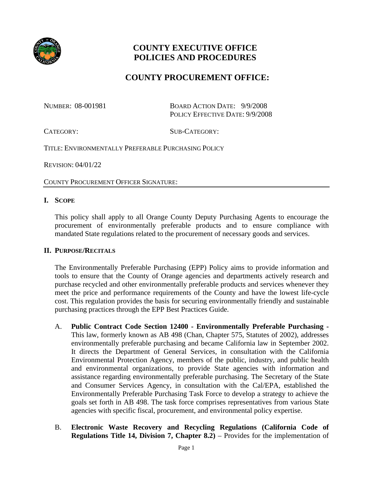

# **COUNTY EXECUTIVE OFFICE POLICIES AND PROCEDURES**

## **COUNTY PROCUREMENT OFFICE:**

NUMBER: 08-001981 BOARD ACTION DATE: 9/9/2008 POLICY EFFECTIVE DATE: 9/9/2008

CATEGORY: SUB-CATEGORY:

TITLE: ENVIRONMENTALLY PREFERABLE PURCHASING POLICY

REVISION: 04/01/22

COUNTY PROCUREMENT OFFICER SIGNATURE:

#### **I. SCOPE**

This policy shall apply to all Orange County Deputy Purchasing Agents to encourage the procurement of environmentally preferable products and to ensure compliance with mandated State regulations related to the procurement of necessary goods and services.

#### **II. PURPOSE/RECITALS**

The Environmentally Preferable Purchasing (EPP) Policy aims to provide information and tools to ensure that the County of Orange agencies and departments actively research and purchase recycled and other environmentally preferable products and services whenever they meet the price and performance requirements of the County and have the lowest life-cycle cost. This regulation provides the basis for securing environmentally friendly and sustainable purchasing practices through the EPP Best Practices Guide.

- A. **Public Contract Code Section 12400 - Environmentally Preferable Purchasing -** This law, formerly known as AB 498 (Chan, Chapter 575, Statutes of 2002), addresses environmentally preferable purchasing and became California law in September 2002. It directs the Department of General Services, in consultation with the California Environmental Protection Agency, members of the public, industry, and public health and environmental organizations, to provide State agencies with information and assistance regarding environmentally preferable purchasing. The Secretary of the State and Consumer Services Agency, in consultation with the Cal/EPA, established the [Environmentally Preferable Purchasing Task Force](http://www.ciwmb.ca.gov/epp/TaskForce/) to develop a strategy to achieve the goals set forth in AB 498. The task force comprises representatives from various State agencies with specific fiscal, procurement, and environmental policy expertise.
- B. **Electronic Waste Recovery and Recycling Regulations (California Code of Regulations Title 14, Division 7, Chapter 8.2)** – Provides for the implementation of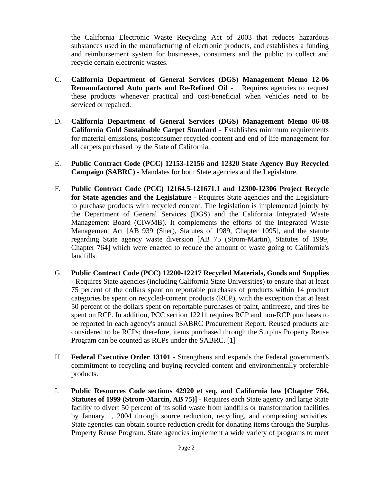the California Electronic Waste Recycling Act of 2003 that reduces hazardous substances used in the manufacturing of electronic products, and establishes a funding and reimbursement system for businesses, consumers and the public to collect and recycle certain electronic wastes.

- C. **California Department of General Services (DGS) Management Memo 12-06 [Remanufactured Auto](http://www.documents.dgs.ca.gov/osp/sam/mmemos/mm01_22.pdf) parts and Re-Refined Oil** - Requires agencies to request these products whenever practical and cost-beneficial when vehicles need to be serviced or repaired.
- D. **California Department of General Services (DGS) Management Memo [06-08](http://www.documents.dgs.ca.gov/osp/sam/mmemos/MM06_08.pdf)  [California Gold Sustainable Carpet Standard](http://www.documents.dgs.ca.gov/osp/sam/mmemos/MM06_08.pdf) -** Establishes minimum requirements for material emissions, postconsumer recycled-content and end of life management for all carpets purchased by the State of California.
- E. **Public Contract Code (PCC) 12153-12156 and 12320 State Agency Buy Recycled Campaign (SABRC)** - Mandates for both State agencies and the Legislature.
- F. **Public Contract Code (PCC) 12164.5-121671.1 and 12300-12306 Project Recycle for State agencies and the Legislature -** Requires State agencies and the Legislature to purchase products with recycled content. The legislation is implemented jointly by the Department of General Services (DGS) and the California Integrated Waste Management Board (CIWMB). It complements the efforts of the [Integrated Waste](http://www.ciwmb.ca.gov/LGCentral/Glossary.htm)  [Management Act](http://www.ciwmb.ca.gov/LGCentral/Glossary.htm) [AB 939 (Sher), Statutes of 1989, Chapter 1095], and the statute regarding State agency waste diversion [AB 75 (Strom-Martin), Statutes of 1999, Chapter 764] which were enacted to reduce the amount of waste going to California's landfills.
- G. **[Public Contract Code \(PCC\) 1](http://www.leginfo.ca.gov/cgi-bin/calawquery?codesection=pcc&codebody=&hits=20)2200-12217 Recycled Materials, Goods and Supplies** - Requires State agencies (including California State Universities) to ensure that at least 75 percent of the dollars spent on reportable purchases of products within 14 product categories be spent on recycled-content products (RCP), with the exception that at least 50 percent of the dollars spent on reportable purchases of paint, antifreeze, and tires be spent on RCP. In addition, [PCC section 12211](http://www.leginfo.ca.gov/cgi-bin/calawquery?codesection=pcc&codebody=&hits=20) requires RCP and non-RCP purchases to be reported in each agency's annual [SABRC Procurement Report.](http://www.ciwmb.ca.gov/buyrecycled/StateAgency/Reporting.htm) Reused products are considered to be RCPs; therefore, items purchased through the Surplus Property Reuse Program can be counted as RCPs under the SABRC. [\[1\]](http://www.green.ca.gov/EPP/sources/reuse.htm#1#1)
- H. **Federal [Executive Order 13101](http://www.ofee.gov/eo/13101.asp)** Strengthens and expands the Federal government's commitment to recycling and buying recycled-content and environmentally preferable products.
- I. **[Public Resources Code sections 42920 et seq.](http://www.leginfo.ca.gov/cgi-bin/displaycode?section=prc&group=42001-43000&file=42920-42926) and [California law \[Chapter 764,](http://www.ciwmb.ca.gov/StateAgency/Requirements/AB75.htm)  [Statutes of 1999 \(Strom-Martin, AB 75\)](http://www.ciwmb.ca.gov/StateAgency/Requirements/AB75.htm)]** - Requires each State agency and large State facility to divert 50 percent of its solid waste from landfills or transformation facilities by January 1, 2004 through source reduction, recycling, and composting activities. State agencies can obtain [source reduction credit](http://www.ciwmb.ca.gov/StateAgency/SOARD/Help/definitions.htm) for donating items through the Surplus Property Reuse Program. State agencies implement a wide variety of programs to meet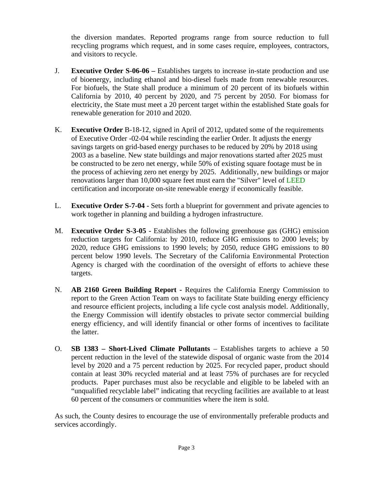the diversion mandates. Reported programs range from source reduction to full recycling programs which request, and in some cases require, employees, contractors, and visitors to recycle.

- J. **Executive Order S-06-06 –** Establishes targets to increase in-state production and use of bioenergy, including ethanol and bio-diesel fuels made from renewable resources. For biofuels, the State shall produce a minimum of 20 percent of its biofuels within California by 2010, 40 percent by 2020, and 75 percent by 2050. For biomass for electricity, the State must meet a 20 percent target within the established State goals for renewable generation for 2010 and 2020.
- K. **Executive Order** B-18-12, signed in April of 2012, updated some of the requirements of Executive Order -02-04 while rescinding the earlier Order. It adjusts the energy savings targets on grid-based energy purchases to be reduced by 20% by 2018 using 2003 as a baseline. New state buildings and major renovations started after 2025 must be constructed to be zero net energy, while 50% of existing square footage must be in the process of achieving zero net energy by 2025. Additionally, new buildings or major renovations larger than 10,000 square feet must earn the "Silver" level of [LEED](http://aceee.org/glossary/9#term325) certification and incorporate on-site renewable energy if economically feasible.
- L. **Executive Order S-7-04 -** Sets forth a blueprint for government and private agencies to work together in planning and building a hydrogen infrastructure.
- M. **Executive Order S-3-05 -** Establishes the following greenhouse gas (GHG) emission reduction targets for California: by 2010, reduce GHG emissions to 2000 levels; by 2020, reduce GHG emissions to 1990 levels; by 2050, reduce GHG emissions to 80 percent below 1990 levels. The Secretary of the California Environmental Protection Agency is charged with the coordination of the oversight of efforts to achieve these targets.
- N. **AB 2160 Green Building Report -** Requires the California Energy Commission to report to the Green Action Team on ways to facilitate State building energy efficiency and resource efficient projects, including a life cycle cost analysis model. Additionally, the Energy Commission will identify obstacles to private sector commercial building energy efficiency, and will identify financial or other forms of incentives to facilitate the latter.
- O. **SB 1383 – Short-Lived Climate Pollutants** Establishes targets to achieve a 50 percent reduction in the level of the statewide disposal of organic waste from the 2014 level by 2020 and a 75 percent reduction by 2025. For recycled paper, product should contain at least 30% recycled material and at least 75% of purchases are for recycled products. Paper purchases must also be recyclable and eligible to be labeled with an "unqualified recyclable label" indicating that recycling facilities are available to at least 60 percent of the consumers or communities where the item is sold.

As such, the County desires to encourage the use of environmentally preferable products and services accordingly.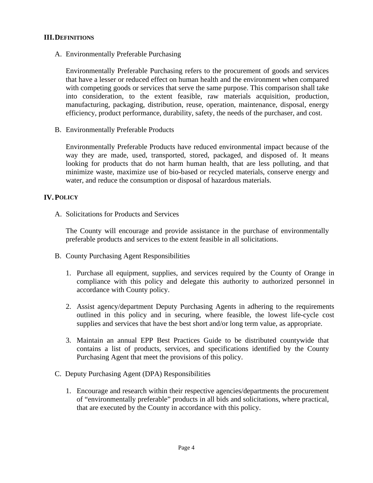## **III.DEFINITIONS**

A. Environmentally Preferable Purchasing

Environmentally Preferable Purchasing refers to the procurement of goods and services that have a lesser or reduced effect on human health and the environment when compared with competing goods or services that serve the same purpose. This comparison shall take into consideration, to the extent feasible, raw materials acquisition, production, manufacturing, packaging, distribution, reuse, operation, maintenance, disposal, energy efficiency, product performance, durability, safety, the needs of the purchaser, and cost.

B. Environmentally Preferable Products

Environmentally Preferable Products have reduced environmental impact because of the way they are made, used, transported, stored, packaged, and disposed of. It means looking for products that do not harm human health, that are less polluting, and that minimize waste, maximize use of bio-based or recycled materials, conserve energy and water, and reduce the consumption or disposal of hazardous materials.

## **IV.POLICY**

A. Solicitations for Products and Services

The County will encourage and provide assistance in the purchase of environmentally preferable products and services to the extent feasible in all solicitations.

- B. County Purchasing Agent Responsibilities
	- 1. Purchase all equipment, supplies, and services required by the County of Orange in compliance with this policy and delegate this authority to authorized personnel in accordance with County policy.
	- 2. Assist agency/department Deputy Purchasing Agents in adhering to the requirements outlined in this policy and in securing, where feasible, the lowest life-cycle cost supplies and services that have the best short and/or long term value, as appropriate.
	- 3. Maintain an annual EPP Best Practices Guide to be distributed countywide that contains a list of products, services, and specifications identified by the County Purchasing Agent that meet the provisions of this policy.
- C. Deputy Purchasing Agent (DPA) Responsibilities
	- 1. Encourage and research within their respective agencies/departments the procurement of "environmentally preferable" products in all bids and solicitations, where practical, that are executed by the County in accordance with this policy.